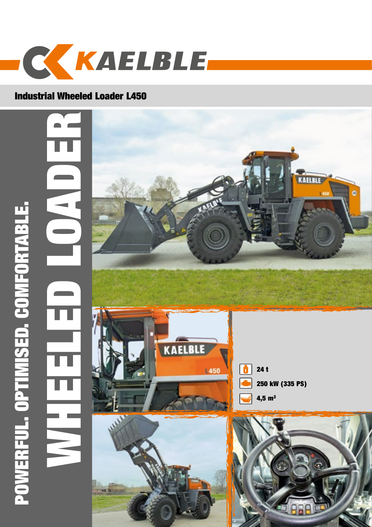

## Industrial Wheeled Loader L450

WHEELER ENER POWERFUL. OPTIMISED. COMFORTABLE. POWERFUL. OPTIMISED. COMFORTABLE.  $\blacksquare$ 









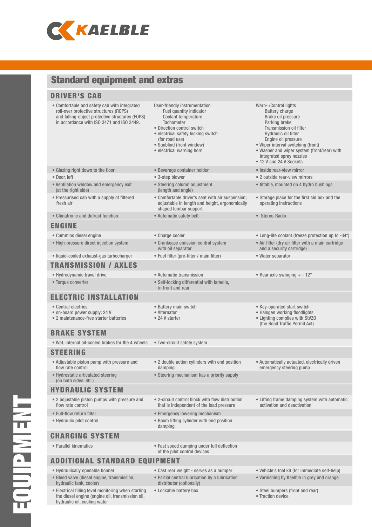

## Standard equipment and extras

#### BRAKE SYSTEM • Wet, internal oil-cooled brakes for the 4 wheels • Two-circuit safety system ELECTRIC INSTALLATION • Central electrics • on-board power supply: 24 V • 2 maintenance-free starter batteries • Battery main switch • Alternator • 24 V starter • Key-operated start switch • Halogen working floodlights • Lighting complies with StVZO (the Road Traffic Permit Act) HYDRAULIC SYSTEM • 2 adjustable piston pumps with pressure and flow rate control • 2-circuit control block with flow distribution that is independent of the load pressure • Lifting frame damping system with automatic activation and deactivation • Full-flow return filter • emergency lowering mechanism • Hydraulic pilot control • Boom lifting cylinder with end position damping ADDITIONAL STANDARD EQUIPMENT • Hydraulically openable bonnet • Cast rear weight - serves as a bumper • • Vehicle's tool kit (for immediate self-help) • Bleed valve (diesel engine, transmission, hydraulic tank, cooler) • Partial central lubrication by a lubrication distributor (optionally) • Varnishing by Kaelble in grey and orange CHARGING SYSTEM • Parallel kinematics • Fast speed dumping under full deflection of the pilot control devices TRANSMISSION / AXLES • Hydrodynamic travel drive • **Automatic transmission** • **Automatic transmission** • **• Rear axle swinging + - 12°** • Torque converter • Self-locking differential with lamella, in front and rear STEERING • Adjustable piston pump with pressure and flow rate control • 2 double action cylinders with end position damping • Automatically actuated, electrically driven emergency steering pump • Hydrostatic articulated steering (on both sides: 40°) • Steering mechanism has a priority supply DRIVER'S CAB • Comfortable and safety cab with integrated roll-over protective structures (ROPS) and falling-object protective structures (FOPS) in accordance with ISO 3471 and ISO 3449. User-friendly instrumentation Fuel quantity indicator Coolant temperature **Tachometer** • Direction control switch • electrical safety locking switch (for road use) • Sunblind (front window) • electrical warning horn Warn- /Control lights Battery charge Brake oil pressure Parking brake Transmission oil filter Hydraulic oil filter Engine oil pressure • Wiper interval switching (front) • Washer and wiper system (front/rear) with integrated spray nozzles • 12 V and 24 V Sockets • Glazing right down to the floor • **•** Beverage container holder • **•** Inside rear-view mirror • Door, left • 3-step blower • 3-step blower • 3-step blower • 2 outside rear-view mirrors • Ventilation window and emergency exit (at the right side) • Steering column adjustment (length and angle) • tiltable, mounted on 4 hydro bushings • Pressurised cab with a supply of filtered fresh air • Comfortable driver's seat with air suspension; adjustable in length and height, ergonomically shaped lumbar support • Storage place for the first aid box and the operating instructions • Climatronic and defrost function • Automatic safety belt • Stereo-Radio ENGINE • Cummins diesel engine • Charge cooler • Long-life coolant (freeze protection up to -34º) • High-pressure direct injection system • Crankcase emission control system with oil separator • Air filter (dry air filter with a main cartridge and a security cartridge) • liquid-cooled exhaust-gas turbocharger • Fuel filter (pre-filter / main filter) • Water separator

• Lockable battery box • Steel bumpers (front and rear)

• Traction device

EQUIPMENT **TNEIMEINDE** 

• Electrical filling level monitoring when starting the diesel engine (engine oil, transmission oil,

hydraulic oil, cooling water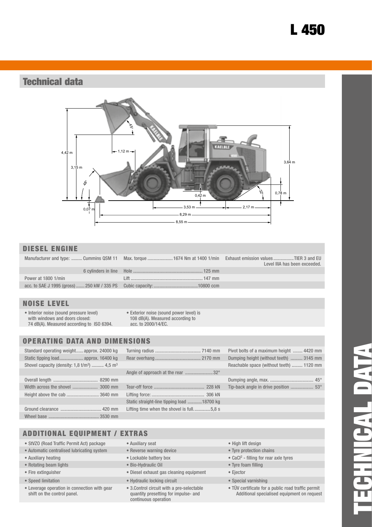# L 450

## Technical data



#### DIESEL ENGINE

|                     | Manufacturer and type:  Cummins QSM 11 Max. torque  1674 Nm at 1400 1/min Exhaust emission values TIER 3 and EU | Level IIIA has been exceeded. |
|---------------------|-----------------------------------------------------------------------------------------------------------------|-------------------------------|
|                     |                                                                                                                 |                               |
| Power at 1800 1/min |                                                                                                                 |                               |
|                     |                                                                                                                 |                               |

### NOISE LEVEL

- Interior noise (sound pressure level) with windows and doors closed: 74 dB(A). Measured according to ISO 6394.
- Exterior noise (sound power level) is 108 dB(A). Measured according to acc. to 2000/14/EC.

### OPERATING DATA AND DIMENSIONS

| Standard operating weight approx. 24000 kg                          |
|---------------------------------------------------------------------|
|                                                                     |
| Shovel capacity (density: $1,8 \text{ t/m}^3$ )  4,5 m <sup>3</sup> |

| Static straight-line tipping load 18700 kg |  |
|--------------------------------------------|--|
| Lifting time when the shovel is full5,8 s  |  |
|                                            |  |

| Static tipping load approx. 16400 kg               |                                            | Dumping height (without teeth)  3145 mm  |  |
|----------------------------------------------------|--------------------------------------------|------------------------------------------|--|
| Shovel capacity (density: 1,8 $t/m^3$ )  4,5 $m^3$ |                                            | Reachable space (without teeth)  1120 mm |  |
|                                                    |                                            |                                          |  |
|                                                    |                                            |                                          |  |
| Width across the shovel  3000 mm                   |                                            |                                          |  |
| Height above the cab  3640 mm                      |                                            |                                          |  |
|                                                    | Static straight-line tipping load 18700 kg |                                          |  |
|                                                    | Lifting time when the shovel is full5,8 s  |                                          |  |
|                                                    |                                            |                                          |  |

Standard operating weight...... approx. 24000 kg Turning radius ...................................... 7140 mm Pivot bolts of a maximum height ........ 4420 mm

| Pivot bolts of a maximum height  4420 mm |  |
|------------------------------------------|--|
| Dumping height (without teeth)  3145 mm  |  |
| Reachable space (without teeth)  1120 mm |  |
|                                          |  |
|                                          |  |
|                                          |  |
|                                          |  |
|                                          |  |

- ADDITIONAL EQUIPMENT / EXTRAS
- StVZO (Road Traffic Permit Act) package Auxiliary seat High lift design
- Automatic centralised lubricating system Reverse warning device Tyre protection chains<br>• Auxiliary heating tor rear a Lockable battery box CaCl<sup>2</sup> filling for rear a CaCl<sup>2</sup> filling for rear a
- 
- Rotating beam lights Bio-Hydraulic Oil Tyre foam filling
- 
- 
- Leverage operation in connection with gear shift on the control panel.
- 
- 
- Lockable battery box
- 
- Fire extinguisher Diesel exhaust gas cleaning equipment Ejector
- Speed limitation Hydraulic locking circuit Special varnishing
	- 3.Control circuit with a pre-selectable quantity presetting for impulse- and continuous operation
- 
- 
- $\bullet$  CaCl<sup>2</sup> filling for rear axle tyres
- 
- 
- 
- TÜV certificate for a public road traffic permit Additional specialised equipment on request